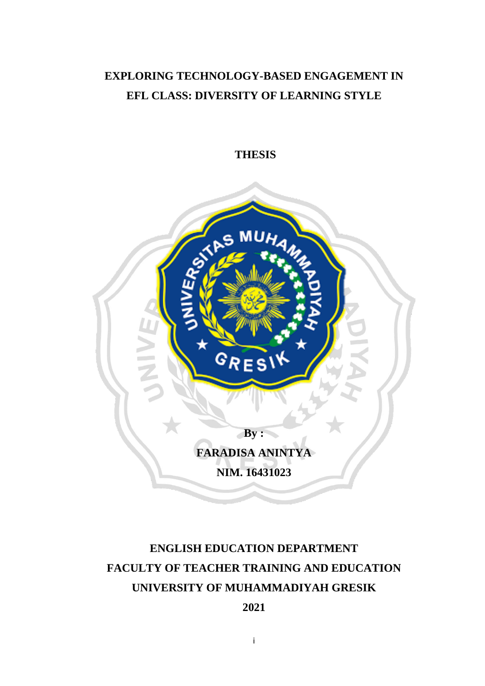## **EXPLORING TECHNOLOGY-BASED ENGAGEMENT IN EFL CLASS: DIVERSITY OF LEARNING STYLE**

**THESIS**



# **ENGLISH EDUCATION DEPARTMENT FACULTY OF TEACHER TRAINING AND EDUCATION UNIVERSITY OF MUHAMMADIYAH GRESIK**

## **2021**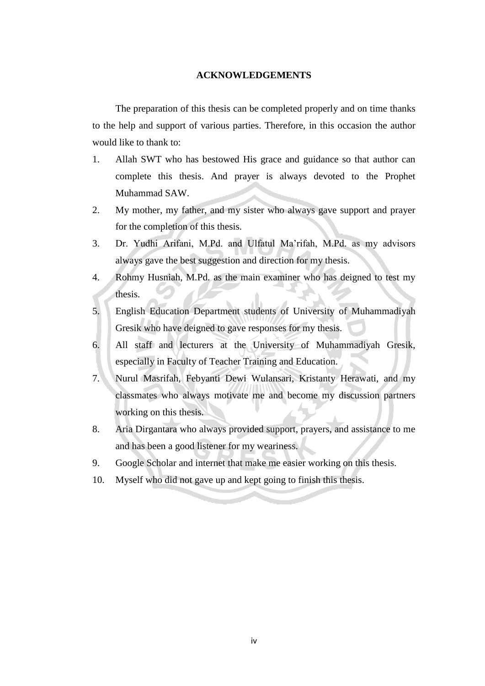#### **ACKNOWLEDGEMENTS**

The preparation of this thesis can be completed properly and on time thanks to the help and support of various parties. Therefore, in this occasion the author would like to thank to:

- 1. Allah SWT who has bestowed His grace and guidance so that author can complete this thesis. And prayer is always devoted to the Prophet Muhammad SAW.
- 2. My mother, my father, and my sister who always gave support and prayer for the completion of this thesis.
- 3. Dr. Yudhi Arifani, M.Pd. and Ulfatul Ma'rifah, M.Pd. as my advisors always gave the best suggestion and direction for my thesis.
- 4. Rohmy Husniah, M.Pd. as the main examiner who has deigned to test my thesis.
- 5. English Education Department students of University of Muhammadiyah Gresik who have deigned to gave responses for my thesis.
- 6. All staff and lecturers at the University of Muhammadiyah Gresik, especially in Faculty of Teacher Training and Education.
- 7. Nurul Masrifah, Febyanti Dewi Wulansari, Kristanty Herawati, and my classmates who always motivate me and become my discussion partners working on this thesis.
- 8. Aria Dirgantara who always provided support, prayers, and assistance to me and has been a good listener for my weariness.
- 9. Google Scholar and internet that make me easier working on this thesis.
- 10. Myself who did not gave up and kept going to finish this thesis.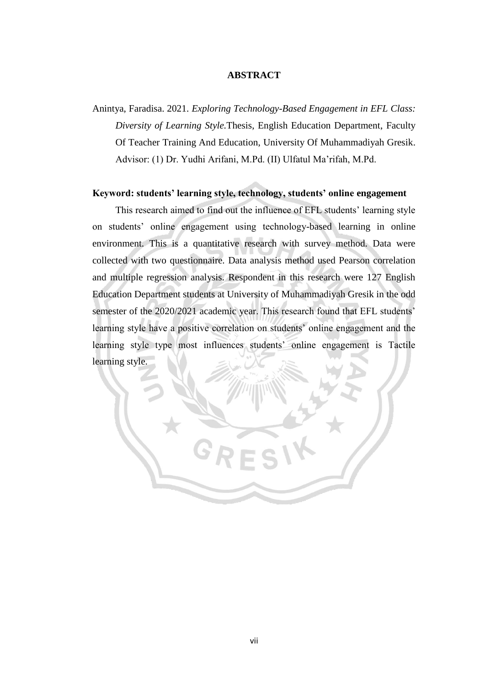#### **ABSTRACT**

Anintya, Faradisa. 2021. *Exploring Technology-Based Engagement in EFL Class: Diversity of Learning Style.*Thesis, English Education Department, Faculty Of Teacher Training And Education, University Of Muhammadiyah Gresik. Advisor: (1) Dr. Yudhi Arifani, M.Pd. (II) Ulfatul Ma'rifah, M.Pd.

#### **Keyword: students' learning style, technology, students' online engagement**

This research aimed to find out the influence of EFL students' learning style on students' online engagement using technology-based learning in online environment. This is a quantitative research with survey method. Data were collected with two questionnaire. Data analysis method used Pearson correlation and multiple regression analysis. Respondent in this research were 127 English Education Department students at University of Muhammadiyah Gresik in the odd semester of the 2020/2021 academic year. This research found that EFL students' learning style have a positive correlation on students' online engagement and the learning style type most influences students' online engagement is Tactile learning style.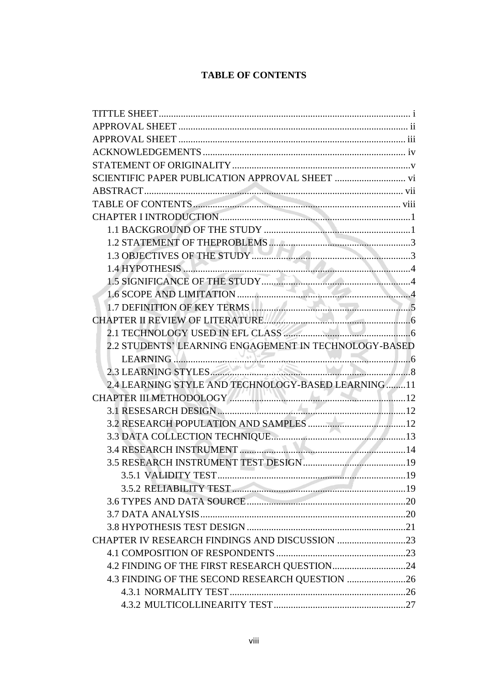#### **TABLE OF CONTENTS**

| TABLE OF CONTENTS                                     |  |
|-------------------------------------------------------|--|
|                                                       |  |
|                                                       |  |
|                                                       |  |
|                                                       |  |
|                                                       |  |
|                                                       |  |
|                                                       |  |
|                                                       |  |
|                                                       |  |
|                                                       |  |
| 2.2 STUDENTS' LEARNING ENGAGEMENT IN TECHNOLOGY-BASED |  |
| LEARNING<br>2.3 LEARNING STYLES                       |  |
|                                                       |  |
| 2.4 LEARNING STYLE AND TECHNOLOGY-BASED LEARNING11    |  |
|                                                       |  |
|                                                       |  |
|                                                       |  |
|                                                       |  |
|                                                       |  |
|                                                       |  |
|                                                       |  |
|                                                       |  |
|                                                       |  |
|                                                       |  |
|                                                       |  |
|                                                       |  |
|                                                       |  |
|                                                       |  |
| 4.3 FINDING OF THE SECOND RESEARCH QUESTION 26        |  |
|                                                       |  |
|                                                       |  |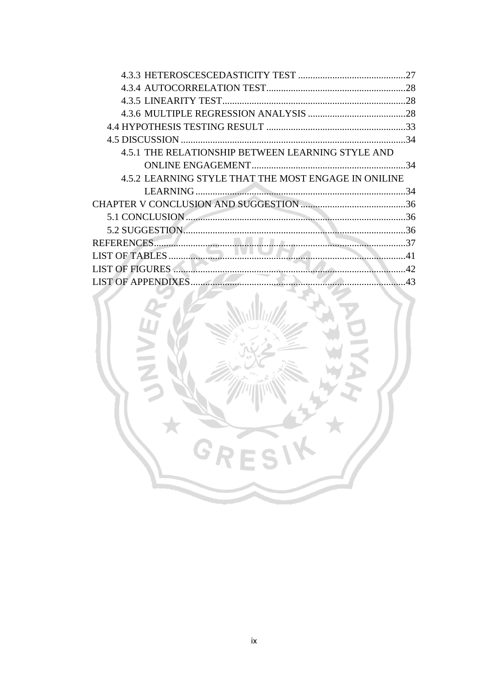|                                                      | 27         |
|------------------------------------------------------|------------|
|                                                      |            |
|                                                      |            |
|                                                      |            |
|                                                      |            |
|                                                      |            |
| 4.5.1 THE RELATIONSHIP BETWEEN LEARNING STYLE AND    |            |
|                                                      |            |
| 4.5.2 LEARNING STYLE THAT THE MOST ENGAGE IN ONILINE |            |
|                                                      | 34         |
|                                                      |            |
|                                                      |            |
|                                                      |            |
|                                                      |            |
| 41                                                   |            |
|                                                      |            |
| I IST OF APPENDIXES                                  | $\Delta$ 3 |

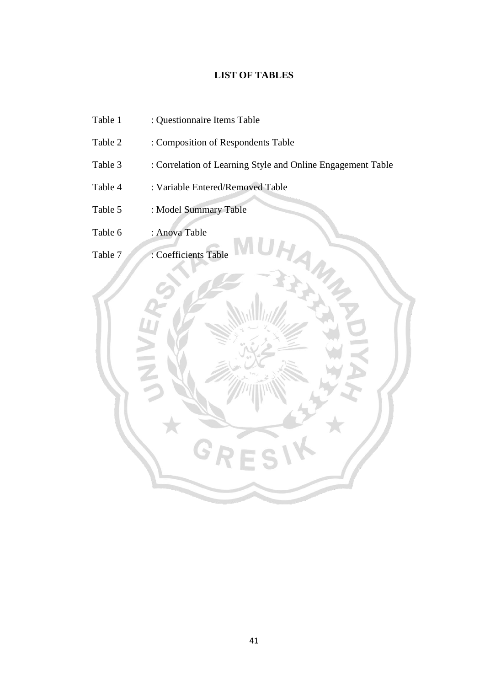#### **LIST OF TABLES**

- Table 1 : Questionnaire Items Table
- Table 2 : Composition of Respondents Table
- Table 3 : Correlation of Learning Style and Online Engagement Table
- Table 4 : Variable Entered/Removed Table
- Table 5 : Model Summary Table
- Table 6 : Anova Table

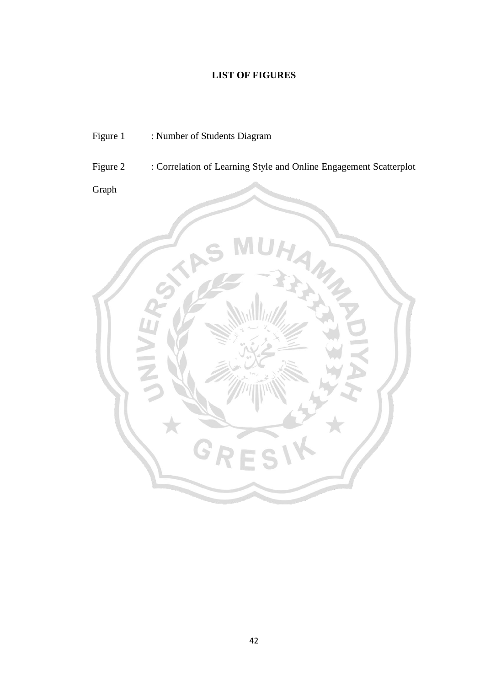### **LIST OF FIGURES**

- Figure 1 : Number of Students Diagram
- Figure 2 : Correlation of Learning Style and Online Engagement Scatterplot

Graph